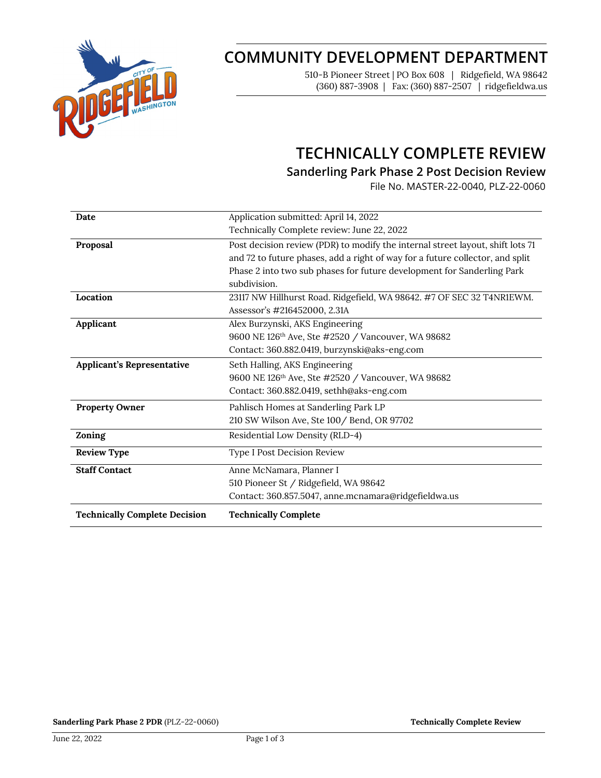

# **COMMUNITY DEVELOPMENT DEPARTMENT**

510-B Pioneer Street | PO Box 608 | Ridgefield, WA 98642 (360) 887-3908 | Fax: (360) 887-2507 | ridgefieldwa.us

# **TECHNICALLY COMPLETE REVIEW**

## **Sanderling Park Phase 2 Post Decision Review**

File No. MASTER-22-0040, PLZ-22-0060

| Date                                 | Application submitted: April 14, 2022                                          |
|--------------------------------------|--------------------------------------------------------------------------------|
|                                      | Technically Complete review: June 22, 2022                                     |
| Proposal                             | Post decision review (PDR) to modify the internal street layout, shift lots 71 |
|                                      | and 72 to future phases, add a right of way for a future collector, and split  |
|                                      | Phase 2 into two sub phases for future development for Sanderling Park         |
|                                      | subdivision.                                                                   |
| Location                             | 23117 NW Hillhurst Road. Ridgefield, WA 98642. #7 OF SEC 32 T4NR1EWM.          |
|                                      | Assessor's #216452000, 2.31A                                                   |
| Applicant                            | Alex Burzynski, AKS Engineering                                                |
|                                      | 9600 NE 126 <sup>th</sup> Ave, Ste #2520 / Vancouver, WA 98682                 |
|                                      | Contact: 360.882.0419, burzynski@aks-eng.com                                   |
| <b>Applicant's Representative</b>    | Seth Halling, AKS Engineering                                                  |
|                                      | 9600 NE 126 <sup>th</sup> Ave, Ste #2520 / Vancouver, WA 98682                 |
|                                      | Contact: 360.882.0419, sethh@aks-eng.com                                       |
| <b>Property Owner</b>                | Pahlisch Homes at Sanderling Park LP                                           |
|                                      | 210 SW Wilson Ave, Ste 100 / Bend, OR 97702                                    |
| Zoning                               | Residential Low Density (RLD-4)                                                |
| <b>Review Type</b>                   | Type I Post Decision Review                                                    |
| <b>Staff Contact</b>                 | Anne McNamara, Planner I                                                       |
|                                      | 510 Pioneer St / Ridgefield, WA 98642                                          |
|                                      | Contact: 360.857.5047, anne.mcnamara@ridgefieldwa.us                           |
| <b>Technically Complete Decision</b> | <b>Technically Complete</b>                                                    |

**Sanderling Park Phase 2 PDR** (PLZ-22-0060) **Technically Complete Review Technically Complete Review**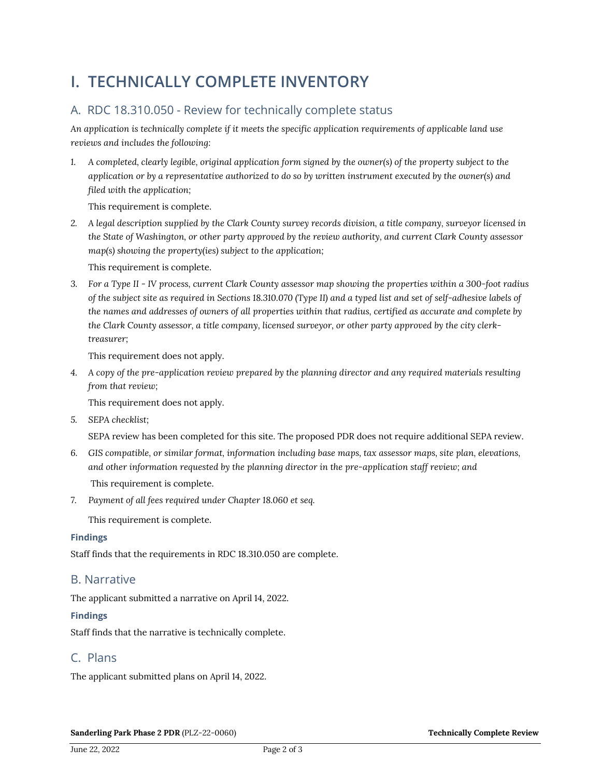# **I. TECHNICALLY COMPLETE INVENTORY**

## A. RDC 18.310.050 - Review for technically complete status

*An application is technically complete if it meets the specific application requirements of applicable land use reviews and includes the following:*

*1. A completed, clearly legible, original application form signed by the owner(s) of the property subject to the application or by a representative authorized to do so by written instrument executed by the owner(s) and filed with the application;* 

This requirement is complete.

*2. A legal description supplied by the Clark County survey records division, a title company, surveyor licensed in the State of Washington, or other party approved by the review authority, and current Clark County assessor map(s) showing the property(ies) subject to the application;*

This requirement is complete.

*3. For a Type II - IV process, current Clark County assessor map showing the properties within a 300-foot radius of the subject site as required in Sections 18.310.070 (Type II) and a typed list and set of self-adhesive labels of the names and addresses of owners of all properties within that radius, certified as accurate and complete by the Clark County assessor, a title company, licensed surveyor, or other party approved by the city clerktreasurer;*

This requirement does not apply.

*4. A copy of the pre-application review prepared by the planning director and any required materials resulting from that review;*

This requirement does not apply.

*5. SEPA checklist;*

SEPA review has been completed for this site. The proposed PDR does not require additional SEPA review.

- *6. GIS compatible, or similar format, information including base maps, tax assessor maps, site plan, elevations, and other information requested by the planning director in the pre-application staff review; and* This requirement is complete.
- *7. Payment of all fees required under Chapter 18.060 et seq.*

This requirement is complete.

#### **Findings**

Staff finds that the requirements in RDC 18.310.050 are complete.

### B. Narrative

The applicant submitted a narrative on April 14, 2022.

#### **Findings**

Staff finds that the narrative is technically complete.

### C. Plans

The applicant submitted plans on April 14, 2022.